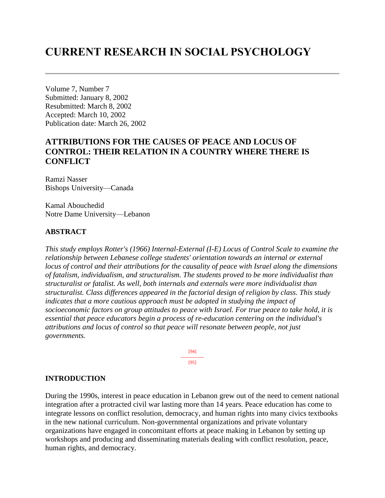# **CURRENT RESEARCH IN SOCIAL PSYCHOLOGY**

Volume 7, Number 7 Submitted: January 8, 2002 Resubmitted: March 8, 2002 Accepted: March 10, 2002 Publication date: March 26, 2002

# **ATTRIBUTIONS FOR THE CAUSES OF PEACE AND LOCUS OF CONTROL: THEIR RELATION IN A COUNTRY WHERE THERE IS CONFLICT**

Ramzi Nasser Bishops University—Canada

Kamal Abouchedid Notre Dame University—Lebanon

### **ABSTRACT**

*This study employs Rotter's (1966) Internal-External (I-E) Locus of Control Scale to examine the relationship between Lebanese college students' orientation towards an internal or external locus of control and their attributions for the causality of peace with Israel along the dimensions of fatalism, individualism, and structuralism. The students proved to be more individualist than structuralist or fatalist. As well, both internals and externals were more individualist than structuralist. Class differences appeared in the factorial design of religion by class. This study indicates that a more cautious approach must be adopted in studying the impact of socioeconomic factors on group attitudes to peace with Israel. For true peace to take hold, it is essential that peace educators begin a process of re-education centering on the individual's attributions and locus of control so that peace will resonate between people, not just governments.*

> [94] --------------- [95]

### **INTRODUCTION**

During the 1990s, interest in peace education in Lebanon grew out of the need to cement national integration after a protracted civil war lasting more than 14 years. Peace education has come to integrate lessons on conflict resolution, democracy, and human rights into many civics textbooks in the new national curriculum. Non-governmental organizations and private voluntary organizations have engaged in concomitant efforts at peace making in Lebanon by setting up workshops and producing and disseminating materials dealing with conflict resolution, peace, human rights, and democracy.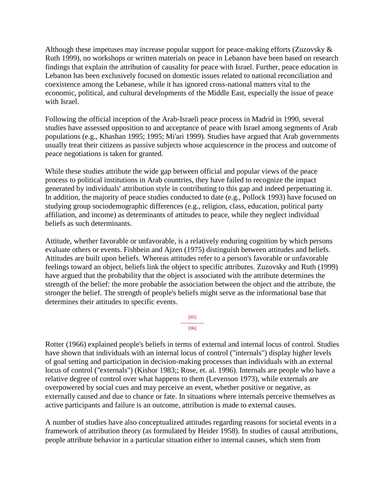Although these impetuses may increase popular support for peace-making efforts (Zuzovsky & Ruth 1999), no workshops or written materials on peace in Lebanon have been based on research findings that explain the attribution of causality for peace with Israel. Further, peace education in Lebanon has been exclusively focused on domestic issues related to national reconciliation and coexistence among the Lebanese, while it has ignored cross-national matters vital to the economic, political, and cultural developments of the Middle East, especially the issue of peace with Israel.

Following the official inception of the Arab-Israeli peace process in Madrid in 1990, several studies have assessed opposition to and acceptance of peace with Israel among segments of Arab populations (e.g., Khashan 1995; 1995; Mi'ari 1999). Studies have argued that Arab governments usually treat their citizens as passive subjects whose acquiescence in the process and outcome of peace negotiations is taken for granted.

While these studies attribute the wide gap between official and popular views of the peace process to political institutions in Arab countries, they have failed to recognize the impact generated by individuals' attribution style in contributing to this gap and indeed perpetuating it. In addition, the majority of peace studies conducted to date (e.g., Pollock 1993) have focused on studying group sociodemographic differences (e.g., religion, class, education, political party affiliation, and income) as determinants of attitudes to peace, while they neglect individual beliefs as such determinants.

Attitude, whether favorable or unfavorable, is a relatively enduring cognition by which persons evaluate others or events. Fishbein and Ajzen (1975) distinguish between attitudes and beliefs. Attitudes are built upon beliefs. Whereas attitudes refer to a person's favorable or unfavorable feelings toward an object, beliefs link the object to specific attributes. Zuzovsky and Ruth (1999) have argued that the probability that the object is associated with the attribute determines the strength of the belief: the more probable the association between the object and the attribute, the stronger the belief. The strength of people's beliefs might serve as the informational base that determines their attitudes to specific events.

> [95] --------------- [96]

Rotter (1966) explained people's beliefs in terms of external and internal locus of control. Studies have shown that individuals with an internal locus of control ("internals") display higher levels of goal setting and participation in decision-making processes than individuals with an external locus of control ("externals") (Kishor 1983;; Rose, et. al. 1996). Internals are people who have a relative degree of control over what happens to them (Levenson 1973), while externals are overpowered by social cues and may perceive an event, whether positive or negative, as externally caused and due to chance or fate. In situations where internals perceive themselves as active participants and failure is an outcome, attribution is made to external causes.

A number of studies have also conceptualized attitudes regarding reasons for societal events in a framework of attribution theory (as formulated by Heider 1958). In studies of causal attributions, people attribute behavior in a particular situation either to internal causes, which stem from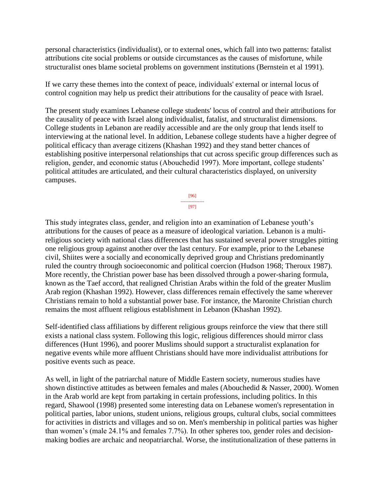personal characteristics (individualist), or to external ones, which fall into two patterns: fatalist attributions cite social problems or outside circumstances as the causes of misfortune, while structuralist ones blame societal problems on government institutions (Bernstein et al 1991).

If we carry these themes into the context of peace, individuals' external or internal locus of control cognition may help us predict their attributions for the causality of peace with Israel.

The present study examines Lebanese college students' locus of control and their attributions for the causality of peace with Israel along individualist, fatalist, and structuralist dimensions. College students in Lebanon are readily accessible and are the only group that lends itself to interviewing at the national level. In addition, Lebanese college students have a higher degree of political efficacy than average citizens (Khashan 1992) and they stand better chances of establishing positive interpersonal relationships that cut across specific group differences such as religion, gender, and economic status (Abouchedid 1997). More important, college students' political attitudes are articulated, and their cultural characteristics displayed, on university campuses.

> [96] --------------- [97]

This study integrates class, gender, and religion into an examination of Lebanese youth's attributions for the causes of peace as a measure of ideological variation. Lebanon is a multireligious society with national class differences that has sustained several power struggles pitting one religious group against another over the last century. For example, prior to the Lebanese civil, Shiites were a socially and economically deprived group and Christians predominantly ruled the country through socioeconomic and political coercion (Hudson 1968; Theroux 1987). More recently, the Christian power base has been dissolved through a power-sharing formula, known as the Taef accord, that realigned Christian Arabs within the fold of the greater Muslim Arab region (Khashan 1992). However, class differences remain effectively the same wherever Christians remain to hold a substantial power base. For instance, the Maronite Christian church remains the most affluent religious establishment in Lebanon (Khashan 1992).

Self-identified class affiliations by different religious groups reinforce the view that there still exists a national class system. Following this logic, religious differences should mirror class differences (Hunt 1996), and poorer Muslims should support a structuralist explanation for negative events while more affluent Christians should have more individualist attributions for positive events such as peace.

As well, in light of the patriarchal nature of Middle Eastern society, numerous studies have shown distinctive attitudes as between females and males (Abouchedid & Nasser, 2000). Women in the Arab world are kept from partaking in certain professions, including politics. In this regard, Shawool (1998) presented some interesting data on Lebanese women's representation in political parties, labor unions, student unions, religious groups, cultural clubs, social committees for activities in districts and villages and so on. Men's membership in political parties was higher than women's (male 24.1% and females 7.7%). In other spheres too, gender roles and decisionmaking bodies are archaic and neopatriarchal. Worse, the institutionalization of these patterns in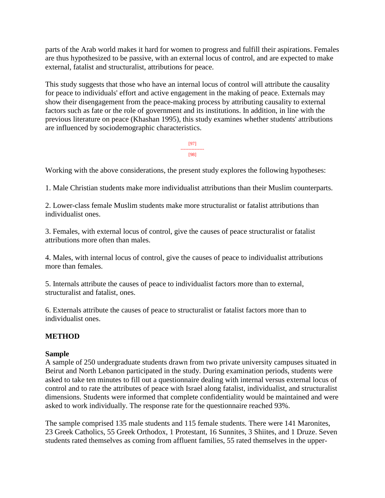parts of the Arab world makes it hard for women to progress and fulfill their aspirations. Females are thus hypothesized to be passive, with an external locus of control, and are expected to make external, fatalist and structuralist, attributions for peace.

This study suggests that those who have an internal locus of control will attribute the causality for peace to individuals' effort and active engagement in the making of peace. Externals may show their disengagement from the peace-making process by attributing causality to external factors such as fate or the role of government and its institutions. In addition, in line with the previous literature on peace (Khashan 1995), this study examines whether students' attributions are influenced by sociodemographic characteristics.

> [97] --------------- [98]

Working with the above considerations, the present study explores the following hypotheses:

1. Male Christian students make more individualist attributions than their Muslim counterparts.

2. Lower-class female Muslim students make more structuralist or fatalist attributions than individualist ones.

3. Females, with external locus of control, give the causes of peace structuralist or fatalist attributions more often than males.

4. Males, with internal locus of control, give the causes of peace to individualist attributions more than females.

5. Internals attribute the causes of peace to individualist factors more than to external, structuralist and fatalist, ones.

6. Externals attribute the causes of peace to structuralist or fatalist factors more than to individualist ones.

## **METHOD**

### **Sample**

A sample of 250 undergraduate students drawn from two private university campuses situated in Beirut and North Lebanon participated in the study. During examination periods, students were asked to take ten minutes to fill out a questionnaire dealing with internal versus external locus of control and to rate the attributes of peace with Israel along fatalist, individualist, and structuralist dimensions. Students were informed that complete confidentiality would be maintained and were asked to work individually. The response rate for the questionnaire reached 93%.

The sample comprised 135 male students and 115 female students. There were 141 Maronites, 23 Greek Catholics, 55 Greek Orthodox, 1 Protestant, 16 Sunnites, 3 Shiites, and 1 Druze. Seven students rated themselves as coming from affluent families, 55 rated themselves in the upper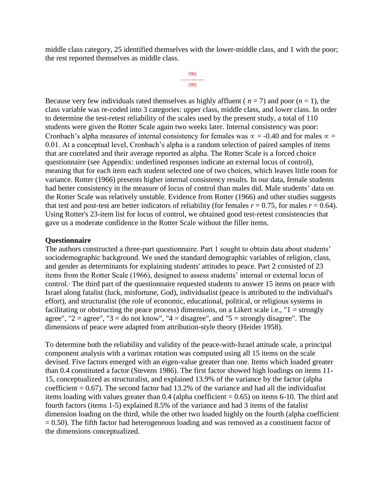middle class category, 25 identified themselves with the lower-middle class, and 1 with the poor; the rest reported themselves as middle class.

```
[98]
---------------
     [99]
```
Because very few individuals rated themselves as highly affluent ( $n = 7$ ) and poor ( $n = 1$ ), the class variable was re-coded into 3 categories: upper class, middle class, and lower class. In order to determine the test-retest reliability of the scales used by the present study, a total of 110 students were given the Rotter Scale again two weeks later. Internal consistency was poor: Cronbach's alpha measures of internal consistency for females was  $\infty = -0.40$  and for males  $\infty =$ 0.01. At a conceptual level, Cronbach's alpha is a random selection of paired samples of items that are correlated and their average reported as alpha. The Rotter Scale is a forced choice questionnaire (see Appendix: underlined responses indicate an external locus of control), meaning that for each item each student selected one of two choices, which leaves little room for variance. Rotter (1966) presents higher internal consistency results. In our data, female students had better consistency in the measure of locus of control than males did. Male students' data on the Rotter Scale was relatively unstable. Evidence from Rotter (1966) and other studies suggests that test and post-test are better indicators of reliability (for females  $r = 0.75$ , for males  $r = 0.64$ ). Using Rotter's 23-item list for locus of control, we obtained good test-retest consistencies that gave us a moderate confidence in the Rotter Scale without the filler items.

#### **Questionnaire**

The authors constructed a three-part questionnaire. Part 1 sought to obtain data about students' sociodemographic background. We used the standard demographic variables of religion, class, and gender as determinants for explaining students' attitudes to peace. Part 2 consisted of 23 items from the Rotter Scale (1966), designed to assess students' internal or external locus of control.<sup>1</sup> The third part of the questionnaire requested students to answer 15 items on peace with Israel along fatalist (luck, misfortune, God), individualist (peace is attributed to the individual's effort), and structuralist (the role of economic, educational, political, or religious systems in facilitating or obstructing the peace process) dimensions, on a Likert scale i.e., "1 = strongly agree", " $2 = \text{agree}$ ", " $3 = \text{do not know}$ ", " $4 = \text{disagree}$ ", and " $5 = \text{strongly disagree}$ ". The dimensions of peace were adapted from attribution-style theory (Heider 1958).

To determine both the reliability and validity of the peace-with-Israel attitude scale, a principal component analysis with a varimax rotation was computed using all 15 items on the scale devised. Five factors emerged with an eigen-value greater than one. Items which loaded greater than 0.4 constituted a factor (Stevens 1986). The first factor showed high loadings on items 11- 15, conceptualized as structuralist, and explained 13.9% of the variance by the factor (alpha coefficient  $= 0.67$ ). The second factor had 13.2% of the variance and had all the individualist items loading with values greater than  $0.4$  (alpha coefficient = 0.65) on items 6-10. The third and fourth factors (items 1-5) explained 8.5% of the variance and had 3 items of the fatalist dimension loading on the third, while the other two loaded highly on the fourth (alpha coefficient  $= 0.50$ ). The fifth factor had heterogeneous loading and was removed as a constituent factor of the dimensions conceptualized.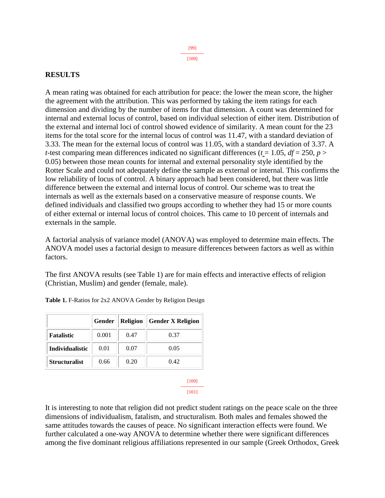#### [99] --------------- [100]

#### **RESULTS**

A mean rating was obtained for each attribution for peace: the lower the mean score, the higher the agreement with the attribution. This was performed by taking the item ratings for each dimension and dividing by the number of items for that dimension. A count was determined for internal and external locus of control, based on individual selection of either item. Distribution of the external and internal loci of control showed evidence of similarity. A mean count for the 23 items for the total score for the internal locus of control was 11.47, with a standard deviation of 3.33. The mean for the external locus of control was 11.05, with a standard deviation of 3.37. A *t*-test comparing mean differences indicated no significant differences ( $t = 1.05$ ,  $df = 250$ ,  $p >$ 0.05) between those mean counts for internal and external personality style identified by the Rotter Scale and could not adequately define the sample as external or internal. This confirms the low reliability of locus of control. A binary approach had been considered, but there was little difference between the external and internal locus of control. Our scheme was to treat the internals as well as the externals based on a conservative measure of response counts. We defined individuals and classified two groups according to whether they had 15 or more counts of either external or internal locus of control choices. This came to 10 percent of internals and externals in the sample.

A factorial analysis of variance model (ANOVA) was employed to determine main effects. The ANOVA model uses a factorial design to measure differences between factors as well as within factors.

The first ANOVA results (see Table 1) are for main effects and interactive effects of religion (Christian, Muslim) and gender (female, male).

|                        | Gender | Religion | <b>Gender X Religion</b> |
|------------------------|--------|----------|--------------------------|
| <b>Fatalistic</b>      | 0.001  | 0.47     | 0.37                     |
| <b>Individualistic</b> | 0.01   | 0.07     | 0.05                     |
| <b>Structuralist</b>   | 0.66   | 0.20     | 0.42                     |
|                        |        |          | H 100                    |

**Table 1.** F-Ratios for 2x2 ANOVA Gender by Religion Design

--------------- [101]

It is interesting to note that religion did not predict student ratings on the peace scale on the three dimensions of individualism, fatalism, and structuralism. Both males and females showed the same attitudes towards the causes of peace. No significant interaction effects were found. We further calculated a one-way ANOVA to determine whether there were significant differences among the five dominant religious affiliations represented in our sample (Greek Orthodox, Greek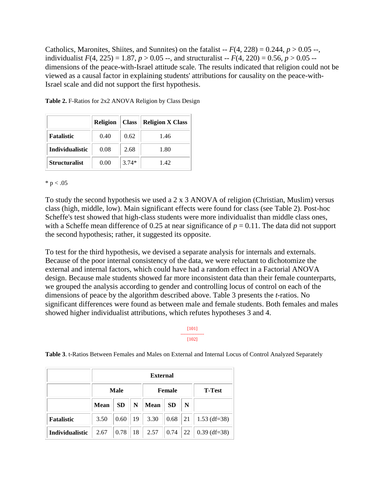Catholics, Maronites, Shiites, and Sunnites) on the fatalist  $-F(4, 228) = 0.244$ ,  $p > 0.05 -$ , individualist  $F(4, 225) = 1.87$ ,  $p > 0.05$  --, and structuralist --  $F(4, 220) = 0.56$ ,  $p > 0.05$  -dimensions of the peace-with-Israel attitude scale. The results indicated that religion could not be viewed as a causal factor in explaining students' attributions for causality on the peace-with-Israel scale and did not support the first hypothesis.

|                        | <b>Religion</b> | <b>Class</b> | <b>Religion X Class</b> |
|------------------------|-----------------|--------------|-------------------------|
| <b>Fatalistic</b>      | 0.40            | 0.62         | 1.46                    |
| <b>Individualistic</b> | 0.08            | 2.68         | 1.80                    |
| <b>Structuralist</b>   | 0.00            | $3.74*$      | 1.42                    |

Table 2. F-Ratios for 2x2 ANOVA Religion by Class Design

 $* p < .05$ 

To study the second hypothesis we used a 2 x 3 ANOVA of religion (Christian, Muslim) versus class (high, middle, low). Main significant effects were found for class (see Table 2). Post-hoc Scheffe's test showed that high-class students were more individualist than middle class ones, with a Scheffe mean difference of 0.25 at near significance of  $p = 0.11$ . The data did not support the second hypothesis; rather, it suggested its opposite.

To test for the third hypothesis, we devised a separate analysis for internals and externals. Because of the poor internal consistency of the data, we were reluctant to dichotomize the external and internal factors, which could have had a random effect in a Factorial ANOVA design. Because male students showed far more inconsistent data than their female counterparts, we grouped the analysis according to gender and controlling locus of control on each of the dimensions of peace by the algorithm described above. Table 3 presents the *t*-ratios. No significant differences were found as between male and female students. Both females and males showed higher individualist attributions, which refutes hypotheses 3 and 4.

#### [101] --------------- [102]

**Table 3**. t-Ratios Between Females and Males on External and Internal Locus of Control Analyzed Separately

|                        |             | <b>External</b> |    |               |           |                  |                |  |
|------------------------|-------------|-----------------|----|---------------|-----------|------------------|----------------|--|
|                        | <b>Male</b> |                 |    | <b>Female</b> |           |                  | <b>T-Test</b>  |  |
|                        | <b>Mean</b> | <b>SD</b>       | N  | <b>Mean</b>   | <b>SD</b> | N                |                |  |
| <b>Fatalistic</b>      | 3.50        | 0.60            | 19 | 3.30          | 0.68      | $\vert 21 \vert$ | $1.53$ (df=38) |  |
| <b>Individualistic</b> | 2.67        | 0.78            | 18 | 2.57          | 0.74      | 22               | $0.39$ (df=38) |  |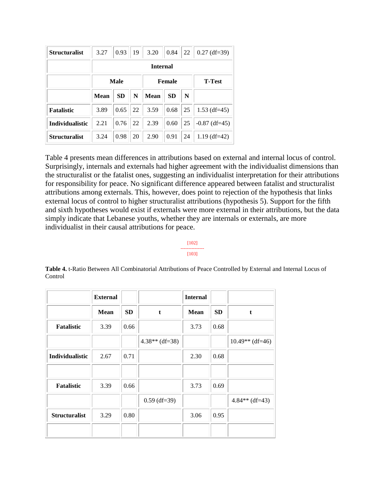| <b>Structuralist</b>   | 3.27 | 0.93      | 19            | 3.20            | 0.84      | 22            | $0.27$ (df=39)  |
|------------------------|------|-----------|---------------|-----------------|-----------|---------------|-----------------|
|                        |      |           |               | <b>Internal</b> |           |               |                 |
|                        | Male |           | <b>Female</b> |                 |           | <b>T-Test</b> |                 |
|                        | Mean | <b>SD</b> | N             | <b>Mean</b>     | <b>SD</b> | N             |                 |
| <b>Fatalistic</b>      | 3.89 | 0.65      | 22            | 3.59            | 0.68      | 25            | $1.53$ (df=45)  |
| <b>Individualistic</b> | 2.21 | 0.76      | 22            | 2.39            | 0.60      | 25            | $-0.87$ (df=45) |
| <b>Structuralist</b>   | 3.24 | 0.98      | 20            | 2.90            | 0.91      | 24            | $1.19$ (df=42)  |

Table 4 presents mean differences in attributions based on external and internal locus of control. Surprisingly, internals and externals had higher agreement with the individualist dimensions than the structuralist or the fatalist ones, suggesting an individualist interpretation for their attributions for responsibility for peace. No significant difference appeared between fatalist and structuralist attributions among externals. This, however, does point to rejection of the hypothesis that links external locus of control to higher structuralist attributions (hypothesis 5). Support for the fifth and sixth hypotheses would exist if externals were more external in their attributions, but the data simply indicate that Lebanese youths, whether they are internals or externals, are more individualist in their causal attributions for peace.

#### [102] --------------- [103]

**Table 4.** t-Ratio Between All Combinatorial Attributions of Peace Controlled by External and Internal Locus of Control

|                        | <b>External</b> |      |                  | <b>Internal</b> |           |                   |
|------------------------|-----------------|------|------------------|-----------------|-----------|-------------------|
|                        | Mean            | SD   | $\mathbf t$      | <b>Mean</b>     | <b>SD</b> | t.                |
| <b>Fatalistic</b>      | 3.39            | 0.66 |                  | 3.73            | 0.68      |                   |
|                        |                 |      | $4.38**$ (df=38) |                 |           | $10.49**$ (df=46) |
| <b>Individualistic</b> | 2.67            | 0.71 |                  | 2.30            | 0.68      |                   |
|                        |                 |      |                  |                 |           |                   |
| <b>Fatalistic</b>      | 3.39            | 0.66 |                  | 3.73            | 0.69      |                   |
|                        |                 |      | $0.59$ (df=39)   |                 |           | $4.84**$ (df=43)  |
| <b>Structuralist</b>   | 3.29            | 0.80 |                  | 3.06            | 0.95      |                   |
|                        |                 |      |                  |                 |           |                   |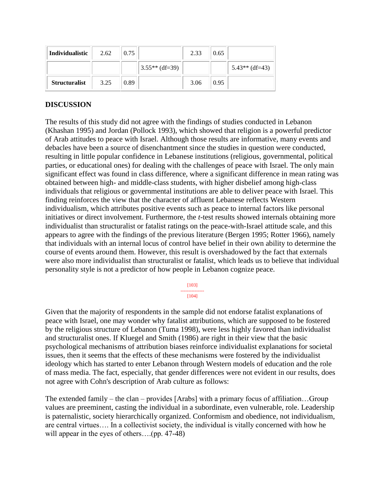| Individualistic      | 2.62 | 0.75 |                  | 2.33 | 0.65 |                  |
|----------------------|------|------|------------------|------|------|------------------|
|                      |      |      | $3.55**$ (df=39) |      |      | $5.43**$ (df=43) |
| <b>Structuralist</b> | 3.25 | 0.89 |                  | 3.06 | 0.95 |                  |

### **DISCUSSION**

The results of this study did not agree with the findings of studies conducted in Lebanon (Khashan 1995) and Jordan (Pollock 1993), which showed that religion is a powerful predictor of Arab attitudes to peace with Israel. Although those results are informative, many events and debacles have been a source of disenchantment since the studies in question were conducted, resulting in little popular confidence in Lebanese institutions (religious, governmental, political parties, or educational ones) for dealing with the challenges of peace with Israel. The only main significant effect was found in class difference, where a significant difference in mean rating was obtained between high- and middle-class students, with higher disbelief among high-class individuals that religious or governmental institutions are able to deliver peace with Israel. This finding reinforces the view that the character of affluent Lebanese reflects Western individualism, which attributes positive events such as peace to internal factors like personal initiatives or direct involvement. Furthermore, the *t*-test results showed internals obtaining more individualist than structuralist or fatalist ratings on the peace-with-Israel attitude scale, and this appears to agree with the findings of the previous literature (Bergen 1995; Rotter 1966), namely that individuals with an internal locus of control have belief in their own ability to determine the course of events around them. However, this result is overshadowed by the fact that externals were also more individualist than structuralist or fatalist, which leads us to believe that individual personality style is not a predictor of how people in Lebanon cognize peace.

[103]

--------------- [104]

Given that the majority of respondents in the sample did not endorse fatalist explanations of peace with Israel, one may wonder why fatalist attributions, which are supposed to be fostered by the religious structure of Lebanon (Tuma 1998), were less highly favored than individualist and structuralist ones. If Kluegel and Smith (1986) are right in their view that the basic psychological mechanisms of attribution biases reinforce individualist explanations for societal issues, then it seems that the effects of these mechanisms were fostered by the individualist ideology which has started to enter Lebanon through Western models of education and the role of mass media. The fact, especially, that gender differences were not evident in our results, does not agree with Cohn's description of Arab culture as follows:

The extended family – the clan – provides [Arabs] with a primary focus of affiliation…Group values are preeminent, casting the individual in a subordinate, even vulnerable, role. Leadership is paternalistic, society hierarchically organized. Conformism and obedience, not individualism, are central virtues…. In a collectivist society, the individual is vitally concerned with how he will appear in the eyes of others...(pp. 47-48)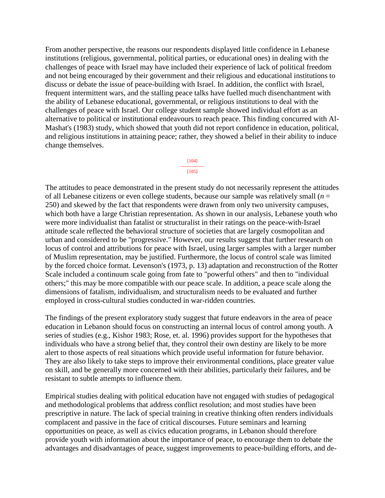From another perspective, the reasons our respondents displayed little confidence in Lebanese institutions (religious, governmental, political parties, or educational ones) in dealing with the challenges of peace with Israel may have included their experience of lack of political freedom and not being encouraged by their government and their religious and educational institutions to discuss or debate the issue of peace-building with Israel. In addition, the conflict with Israel, frequent intermittent wars, and the stalling peace talks have fuelled much disenchantment with the ability of Lebanese educational, governmental, or religious institutions to deal with the challenges of peace with Israel. Our college student sample showed individual effort as an alternative to political or institutional endeavours to reach peace. This finding concurred with Al-Mashat's (1983) study, which showed that youth did not report confidence in education, political, and religious institutions in attaining peace; rather, they showed a belief in their ability to induce change themselves.

#### [104] --------------- [105]

The attitudes to peace demonstrated in the present study do not necessarily represent the attitudes of all Lebanese citizens or even college students, because our sample was relatively small (*n* = 250) and skewed by the fact that respondents were drawn from only two university campuses, which both have a large Christian representation. As shown in our analysis, Lebanese youth who were more individualist than fatalist or structuralist in their ratings on the peace-with-Israel attitude scale reflected the behavioral structure of societies that are largely cosmopolitan and urban and considered to be "progressive." However, our results suggest that further research on locus of control and attributions for peace with Israel, using larger samples with a larger number of Muslim representation, may be justified. Furthermore, the locus of control scale was limited by the forced choice format. Levenson's (1973, p. 13) adaptation and reconstruction of the Rotter Scale included a continuum scale going from fate to "powerful others" and then to "individual others;" this may be more compatible with our peace scale. In addition, a peace scale along the dimensions of fatalism, individualism, and structuralism needs to be evaluated and further employed in cross-cultural studies conducted in war-ridden countries.

The findings of the present exploratory study suggest that future endeavors in the area of peace education in Lebanon should focus on constructing an internal locus of control among youth. A series of studies (e.g., Kishor 1983; Rose, et. al. 1996) provides support for the hypotheses that individuals who have a strong belief that, they control their own destiny are likely to be more alert to those aspects of real situations which provide useful information for future behavior. They are also likely to take steps to improve their environmental conditions, place greater value on skill, and be generally more concerned with their abilities, particularly their failures, and be resistant to subtle attempts to influence them.

Empirical studies dealing with political education have not engaged with studies of pedagogical and methodological problems that address conflict resolution; and most studies have been prescriptive in nature. The lack of special training in creative thinking often renders individuals complacent and passive in the face of critical discourses. Future seminars and learning opportunities on peace, as well as civics education programs, in Lebanon should therefore provide youth with information about the importance of peace, to encourage them to debate the advantages and disadvantages of peace, suggest improvements to peace-building efforts, and de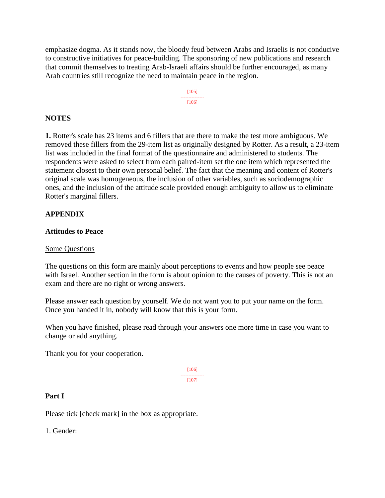emphasize dogma. As it stands now, the bloody feud between Arabs and Israelis is not conducive to constructive initiatives for peace-building. The sponsoring of new publications and research that commit themselves to treating Arab-Israeli affairs should be further encouraged, as many Arab countries still recognize the need to maintain peace in the region.



### **NOTES**

**1.** Rotter's scale has 23 items and 6 fillers that are there to make the test more ambiguous. We removed these fillers from the 29-item list as originally designed by Rotter. As a result, a 23-item list was included in the final format of the questionnaire and administered to students. The respondents were asked to select from each paired-item set the one item which represented the statement closest to their own personal belief. The fact that the meaning and content of Rotter's original scale was homogeneous, the inclusion of other variables, such as sociodemographic ones, and the inclusion of the attitude scale provided enough ambiguity to allow us to eliminate Rotter's marginal fillers.

### **APPENDIX**

#### **Attitudes to Peace**

#### Some Questions

The questions on this form are mainly about perceptions to events and how people see peace with Israel. Another section in the form is about opinion to the causes of poverty. This is not an exam and there are no right or wrong answers.

Please answer each question by yourself. We do not want you to put your name on the form. Once you handed it in, nobody will know that this is your form.

When you have finished, please read through your answers one more time in case you want to change or add anything.

Thank you for your cooperation.

[106] --------------- [107]

### **Part I**

Please tick [check mark] in the box as appropriate.

1. Gender: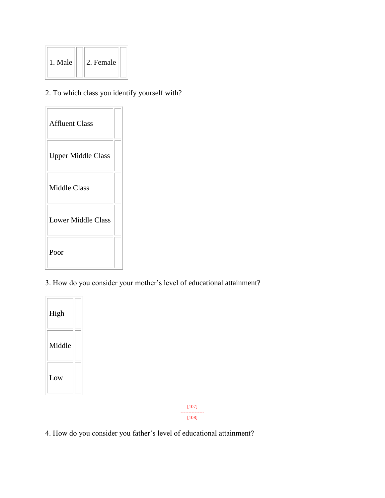| 1. Male | 2. Female |  |
|---------|-----------|--|
|---------|-----------|--|

# 2. To which class you identify yourself with?



# 3. How do you consider your mother's level of educational attainment?



[107] ---------------

[108]

4. How do you consider you father's level of educational attainment?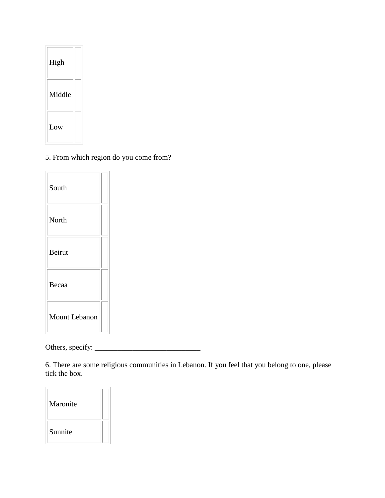| High   |  |
|--------|--|
| Middle |  |
| Low    |  |

5. From which region do you come from?

| South                |  |
|----------------------|--|
| North                |  |
| Beirut               |  |
| Becaa                |  |
| <b>Mount Lebanon</b> |  |

Others, specify: \_\_\_\_\_\_\_\_\_\_\_\_\_\_\_\_\_\_\_\_\_\_\_\_\_\_\_\_

6. There are some religious communities in Lebanon. If you feel that you belong to one, please tick the box.

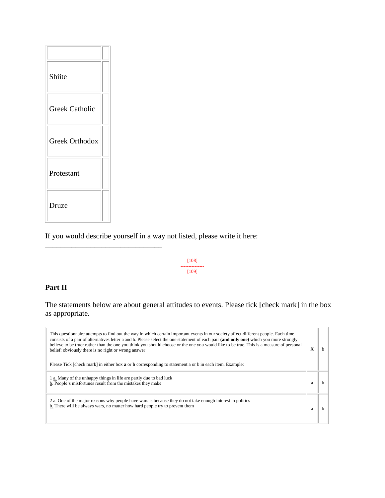

\_\_\_\_\_\_\_\_\_\_\_\_\_\_\_\_\_\_\_\_\_\_\_\_\_\_\_\_\_\_\_

If you would describe yourself in a way not listed, please write it here:

[108] --------------- [109]

# **Part II**

The statements below are about general attitudes to events. Please tick [check mark] in the box as appropriate.

| This questionnaire attempts to find out the way in which certain important events in our society affect different people. Each time<br>consists of a pair of alternatives letter a and b. Please select the one statement of each pair (and only one) which you more strongly<br>believe to be truer rather than the one you think you should choose or the one you would like to be true. This is a measure of personal<br>belief: obviously there is no right or wrong answer<br>Please Tick [check mark] in either box <b>a</b> or <b>b</b> corresponding to statement a or b in each item. Example: | X |  |
|---------------------------------------------------------------------------------------------------------------------------------------------------------------------------------------------------------------------------------------------------------------------------------------------------------------------------------------------------------------------------------------------------------------------------------------------------------------------------------------------------------------------------------------------------------------------------------------------------------|---|--|
| a. Many of the unhappy things in life are partly due to bad luck<br>b. People's misfortunes result from the mistakes they make                                                                                                                                                                                                                                                                                                                                                                                                                                                                          | a |  |
| 2 a. One of the major reasons why people have wars is because they do not take enough interest in politics<br>b. There will be always wars, no matter how hard people try to prevent them                                                                                                                                                                                                                                                                                                                                                                                                               | a |  |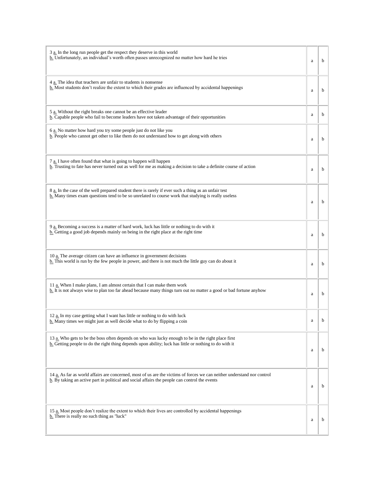| 3 a. In the long run people get the respect they deserve in this world<br>b. Unfortunately, an individual's worth often passes unrecognized no matter how hard he tries                                                  | a | b           |
|--------------------------------------------------------------------------------------------------------------------------------------------------------------------------------------------------------------------------|---|-------------|
| 4 a. The idea that teachers are unfair to students is nonsense<br><b>b.</b> Most students don't realize the extent to which their grades are influenced by accidental happenings                                         | a | $\mathbf b$ |
| 5 a. Without the right breaks one cannot be an effective leader<br>b. Capable people who fail to become leaders have not taken advantage of their opportunities                                                          | a | b           |
| 6 a. No matter how hard you try some people just do not like you<br>b. People who cannot get other to like them do not understand how to get along with others                                                           | a | $\mathbf b$ |
| 7 a. I have often found that what is going to happen will happen<br>b. Trusting to fate has never turned out as well for me as making a decision to take a definite course of action                                     | a | $\mathbf b$ |
| 8 a. In the case of the well prepared student there is rarely if ever such a thing as an unfair test<br>b. Many times exam questions tend to be so unrelated to course work that studying is really useless              | a | b           |
| 9 a. Becoming a success is a matter of hard work, luck has little or nothing to do with it<br>b. Getting a good job depends mainly on being in the right place at the right time                                         | a | b           |
| 10 $a$ . The average citizen can have an influence in government decisions<br>$\underline{b}$ . This world is run by the few people in power, and there is not much the little guy can do about it                       | a | $\mathbf b$ |
| 11 a. When I make plans, I am almost certain that I can make them work<br>$\underline{b}$ . It is not always wise to plan too far ahead because many things turn out no matter a good or bad fortune anyhow              | a | $\mathbf b$ |
| 12 a. In my case getting what I want has little or nothing to do with luck<br>b. Many times we might just as well decide what to do by flipping a coin                                                                   | a | b           |
| 13 a. Who gets to be the boss often depends on who was lucky enough to be in the right place first<br><b>b.</b> Getting people to do the right thing depends upon ability; luck has little or nothing to do with it      | a | b           |
| 14 a. As far as world affairs are concerned, most of us are the victims of forces we can neither understand nor control<br>b. By taking an active part in political and social affairs the people can control the events | a | b           |
| 15 a. Most people don't realize the extent to which their lives are controlled by accidental happenings<br>b. There is really no such thing as "luck"                                                                    | a | b           |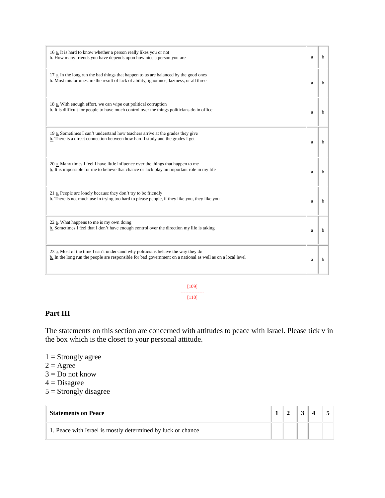| 16 a. It is hard to know whether a person really likes you or not<br>b. How many friends you have depends upon how nice a person you are                                                                      | a | h |
|---------------------------------------------------------------------------------------------------------------------------------------------------------------------------------------------------------------|---|---|
| 17 a. In the long run the bad things that happen to us are balanced by the good ones<br>b. Most misfortunes are the result of lack of ability, ignorance, laziness, or all three                              | a | b |
| 18 a. With enough effort, we can wipe out political corruption<br>b. It is difficult for people to have much control over the things politicians do in office                                                 | a | b |
| 19 a. Sometimes I can't understand how teachers arrive at the grades they give<br>b. There is a direct connection between how hard I study and the grades I get                                               | a | b |
| 20 a. Many times I feel I have little influence over the things that happen to me<br>b. It is impossible for me to believe that chance or luck play an important role in my life                              | a | h |
| 21 a. People are lonely because they don't try to be friendly<br>b. There is not much use in trying too hard to please people, if they like you, they like you                                                | a | b |
| 22 a. What happens to me is my own doing<br>b. Sometimes I feel that I don't have enough control over the direction my life is taking                                                                         | a | b |
| 23 a. Most of the time I can't understand why politicians behave the way they do<br>$\underline{b}$ . In the long run the people are responsible for bad government on a national as well as on a local level | a | b |

[109] ---------------

#### [110]

### **Part III**

The statements on this section are concerned with attitudes to peace with Israel. Please tick v in the box which is the closet to your personal attitude.

- $1 =$ Strongly agree
- $2 = \text{Agree}$
- $3 = Do$  not know
- $4 = Disagree$
- $5 =$ Strongly disagree

| <b>Statements on Peace</b>                                  |  |  |  |
|-------------------------------------------------------------|--|--|--|
| 1. Peace with Israel is mostly determined by luck or chance |  |  |  |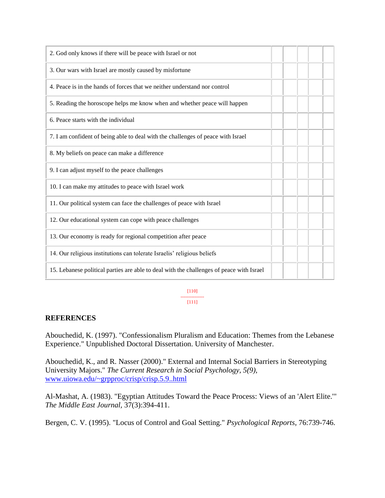| 2. God only knows if there will be peace with Israel or not                              |  |  |
|------------------------------------------------------------------------------------------|--|--|
| 3. Our wars with Israel are mostly caused by misfortune                                  |  |  |
| 4. Peace is in the hands of forces that we neither understand nor control                |  |  |
| 5. Reading the horoscope helps me know when and whether peace will happen                |  |  |
| 6. Peace starts with the individual                                                      |  |  |
| 7. I am confident of being able to deal with the challenges of peace with Israel         |  |  |
| 8. My beliefs on peace can make a difference                                             |  |  |
| 9. I can adjust myself to the peace challenges                                           |  |  |
| 10. I can make my attitudes to peace with Israel work                                    |  |  |
| 11. Our political system can face the challenges of peace with Israel                    |  |  |
| 12. Our educational system can cope with peace challenges                                |  |  |
| 13. Our economy is ready for regional competition after peace                            |  |  |
| 14. Our religious institutions can tolerate Israelis' religious beliefs                  |  |  |
| 15. Lebanese political parties are able to deal with the challenges of peace with Israel |  |  |

[110] ---------------  $[111]$ 

### **REFERENCES**

Abouchedid, K. (1997). "Confessionalism Pluralism and Education: Themes from the Lebanese Experience." Unpublished Doctoral Dissertation. University of Manchester.

Abouchedid, K., and R. Nasser (2000)." External and Internal Social Barriers in Stereotyping University Majors." *The Current Research in Social Psychology, 5(9),*  [www.uiowa.edu/~grpproc/crisp/crisp.5.9..html](http://www.uiowa.edu/~grpproc/crisp/crisp.html)

Al-Mashat, A. (1983). "Egyptian Attitudes Toward the Peace Process: Views of an 'Alert Elite.'" *The Middle East Journal,* 37(3):394-411.

Bergen, C. V. (1995). "Locus of Control and Goal Setting." *Psychological Reports*, 76:739-746.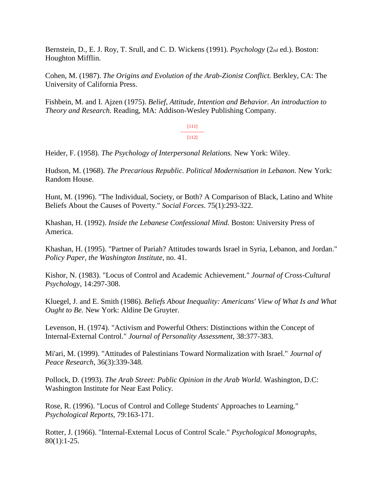Bernstein, D., E. J. Roy, T. Srull, and C. D. Wickens (1991). *Psychology* (2nd ed.). Boston: Houghton Mifflin.

Cohen, M. (1987). *The Origins and Evolution of the Arab-Zionist Conflict.* Berkley, CA: The University of California Press.

Fishbein, M. and I. Ajzen (1975). *Belief, Attitude, Intention and Behavior. An introduction to Theory and Research.* Reading, MA: Addison-Wesley Publishing Company.

> [111] --------------- [112]

Heider, F. (1958). *The Psychology of Interpersonal Relations.* New York: Wiley.

Hudson, M. (1968). *The Precarious Republic. Political Modernisation in Lebanon*. New York: Random House.

Hunt, M. (1996). "The Individual, Society, or Both? A Comparison of Black, Latino and White Beliefs About the Causes of Poverty." *Social Forces*. 75(1):293-322.

Khashan, H. (1992). *Inside the Lebanese Confessional Mind.* Boston: University Press of America.

Khashan, H. (1995). "Partner of Pariah? Attitudes towards Israel in Syria, Lebanon, and Jordan." *Policy Paper, the Washington Institute,* no. 41.

Kishor, N. (1983). "Locus of Control and Academic Achievement." *Journal of Cross-Cultural Psychology*, 14:297-308.

Kluegel, J. and E. Smith (1986). *Beliefs About Inequality: Americans' View of What Is and What Ought to Be.* New York: Aldine De Gruyter.

Levenson, H. (1974). "Activism and Powerful Others: Distinctions within the Concept of Internal-External Control." *Journal of Personality Assessment*, 38:377-383.

Mi'ari, M. (1999). "Attitudes of Palestinians Toward Normalization with Israel." *Journal of Peace Research*, 36(3):339-348.

Pollock, D. (1993). *The Arab Street: Public Opinion in the Arab World.* Washington, D.C: Washington Institute for Near East Policy.

Rose, R. (1996). "Locus of Control and College Students' Approaches to Learning." *Psychological Reports*, 79:163-171.

Rotter, J. (1966). "Internal-External Locus of Control Scale." *Psychological Monographs*,  $80(1):1-25.$